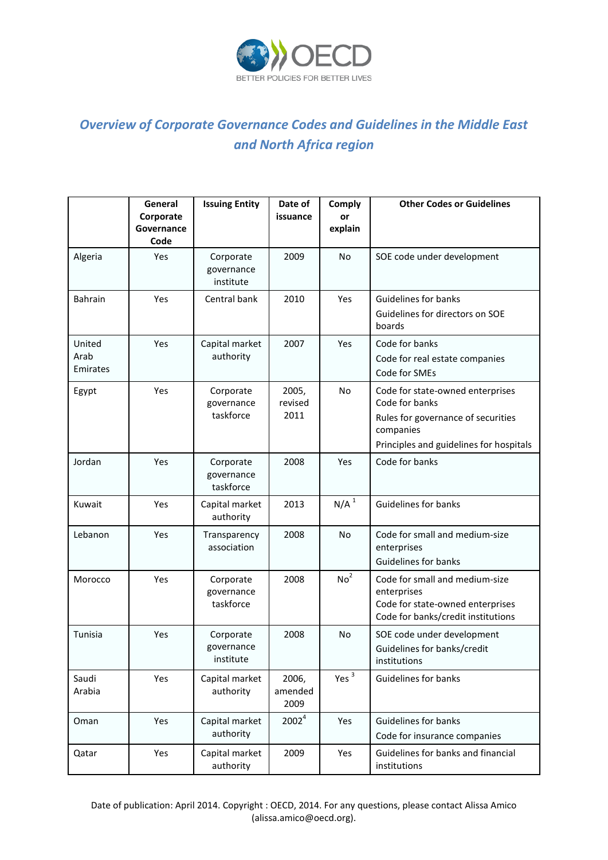

## *Overview of Corporate Governance Codes and Guidelines in the Middle East and North Africa region*

|                            | General<br>Corporate<br>Governance<br>Code | <b>Issuing Entity</b>                | Date of<br>issuance      | Comply<br>or<br>explain | <b>Other Codes or Guidelines</b>                                                                                                                 |
|----------------------------|--------------------------------------------|--------------------------------------|--------------------------|-------------------------|--------------------------------------------------------------------------------------------------------------------------------------------------|
| Algeria                    | Yes                                        | Corporate<br>governance<br>institute | 2009                     | <b>No</b>               | SOE code under development                                                                                                                       |
| <b>Bahrain</b>             | Yes                                        | Central bank                         | 2010                     | Yes                     | <b>Guidelines for banks</b><br>Guidelines for directors on SOE<br>boards                                                                         |
| United<br>Arab<br>Emirates | <b>Yes</b>                                 | Capital market<br>authority          | 2007                     | Yes                     | Code for banks<br>Code for real estate companies<br>Code for SMEs                                                                                |
| Egypt                      | Yes                                        | Corporate<br>governance<br>taskforce | 2005,<br>revised<br>2011 | <b>No</b>               | Code for state-owned enterprises<br>Code for banks<br>Rules for governance of securities<br>companies<br>Principles and guidelines for hospitals |
| Jordan                     | Yes                                        | Corporate<br>governance<br>taskforce | 2008                     | Yes                     | Code for banks                                                                                                                                   |
| Kuwait                     | Yes                                        | Capital market<br>authority          | 2013                     | N/A <sup>1</sup>        | <b>Guidelines for banks</b>                                                                                                                      |
| Lebanon                    | Yes                                        | Transparency<br>association          | 2008                     | <b>No</b>               | Code for small and medium-size<br>enterprises<br><b>Guidelines for banks</b>                                                                     |
| Morocco                    | Yes                                        | Corporate<br>governance<br>taskforce | 2008                     | No <sup>2</sup>         | Code for small and medium-size<br>enterprises<br>Code for state-owned enterprises<br>Code for banks/credit institutions                          |
| Tunisia                    | Yes                                        | Corporate<br>governance<br>institute | 2008                     | No                      | SOE code under development<br>Guidelines for banks/credit<br>institutions                                                                        |
| Saudi<br>Arabia            | Yes                                        | Capital market<br>authority          | 2006,<br>amended<br>2009 | Yes $3$                 | <b>Guidelines for banks</b>                                                                                                                      |
| Oman                       | Yes                                        | Capital market<br>authority          | 2002 <sup>4</sup>        | Yes                     | <b>Guidelines for banks</b><br>Code for insurance companies                                                                                      |
| Qatar                      | Yes                                        | Capital market<br>authority          | 2009                     | Yes                     | Guidelines for banks and financial<br>institutions                                                                                               |